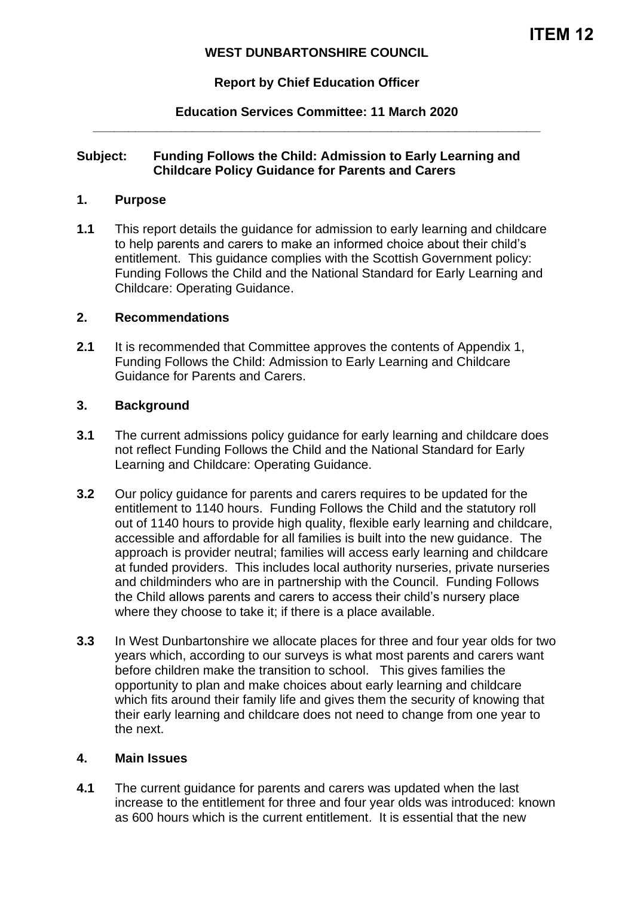## **WEST DUNBARTONSHIRE COUNCIL**

## **Report by Chief Education Officer**

### **Education Services Committee: 11 March 2020 \_\_\_\_\_\_\_\_\_\_\_\_\_\_\_\_\_\_\_\_\_\_\_\_\_\_\_\_\_\_\_\_\_\_\_\_\_\_\_\_\_\_\_\_\_\_\_\_\_\_\_\_\_\_\_\_\_\_\_\_\_\_\_**

### **Subject: Funding Follows the Child: Admission to Early Learning and Childcare Policy Guidance for Parents and Carers**

#### **1. Purpose**

**1.1** This report details the guidance for admission to early learning and childcare to help parents and carers to make an informed choice about their child's entitlement. This guidance complies with the Scottish Government policy: Funding Follows the Child and the National Standard for Early Learning and Childcare: Operating Guidance.

### **2. Recommendations**

**2.1** It is recommended that Committee approves the contents of Appendix 1, Funding Follows the Child: Admission to Early Learning and Childcare Guidance for Parents and Carers.

#### **3. Background**

- **3.1** The current admissions policy guidance for early learning and childcare does not reflect Funding Follows the Child and the National Standard for Early Learning and Childcare: Operating Guidance.
- **3.2** Our policy guidance for parents and carers requires to be updated for the entitlement to 1140 hours. Funding Follows the Child and the statutory roll out of 1140 hours to provide high quality, flexible early learning and childcare, accessible and affordable for all families is built into the new guidance. The approach is provider neutral; families will access early learning and childcare at funded providers. This includes local authority nurseries, private nurseries and childminders who are in partnership with the Council. Funding Follows the Child allows parents and carers to access their child's nursery place where they choose to take it; if there is a place available.
- **3.3** In West Dunbartonshire we allocate places for three and four year olds for two years which, according to our surveys is what most parents and carers want before children make the transition to school. This gives families the opportunity to plan and make choices about early learning and childcare which fits around their family life and gives them the security of knowing that their early learning and childcare does not need to change from one year to the next.

#### **4. Main Issues**

**4.1** The current guidance for parents and carers was updated when the last increase to the entitlement for three and four year olds was introduced: known as 600 hours which is the current entitlement. It is essential that the new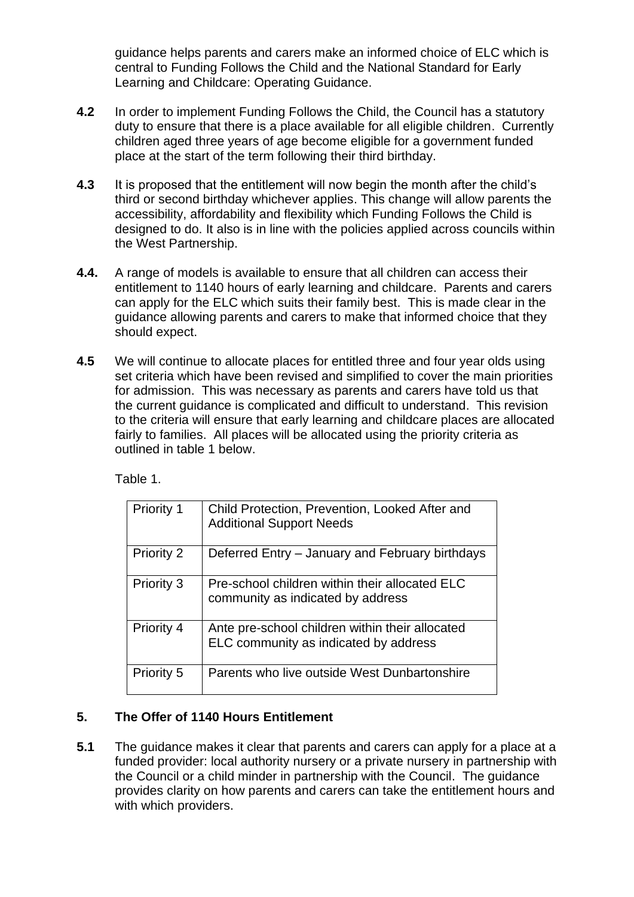guidance helps parents and carers make an informed choice of ELC which is central to Funding Follows the Child and the National Standard for Early Learning and Childcare: Operating Guidance.

- **4.2** In order to implement Funding Follows the Child, the Council has a statutory duty to ensure that there is a place available for all eligible children. Currently children aged three years of age become eligible for a government funded place at the start of the term following their third birthday.
- **4.3** It is proposed that the entitlement will now begin the month after the child's third or second birthday whichever applies. This change will allow parents the accessibility, affordability and flexibility which Funding Follows the Child is designed to do. It also is in line with the policies applied across councils within the West Partnership.
- **4.4.** A range of models is available to ensure that all children can access their entitlement to 1140 hours of early learning and childcare. Parents and carers can apply for the ELC which suits their family best. This is made clear in the guidance allowing parents and carers to make that informed choice that they should expect.
- **4.5** We will continue to allocate places for entitled three and four year olds using set criteria which have been revised and simplified to cover the main priorities for admission. This was necessary as parents and carers have told us that the current guidance is complicated and difficult to understand. This revision to the criteria will ensure that early learning and childcare places are allocated fairly to families. All places will be allocated using the priority criteria as outlined in table 1 below.

Table 1.

| Priority 1        | Child Protection, Prevention, Looked After and<br><b>Additional Support Needs</b>        |
|-------------------|------------------------------------------------------------------------------------------|
| Priority 2        | Deferred Entry – January and February birthdays                                          |
| Priority 3        | Pre-school children within their allocated ELC<br>community as indicated by address      |
| <b>Priority 4</b> | Ante pre-school children within their allocated<br>ELC community as indicated by address |
| Priority 5        | Parents who live outside West Dunbartonshire                                             |

## **5. The Offer of 1140 Hours Entitlement**

**5.1** The guidance makes it clear that parents and carers can apply for a place at a funded provider: local authority nursery or a private nursery in partnership with the Council or a child minder in partnership with the Council. The guidance provides clarity on how parents and carers can take the entitlement hours and with which providers.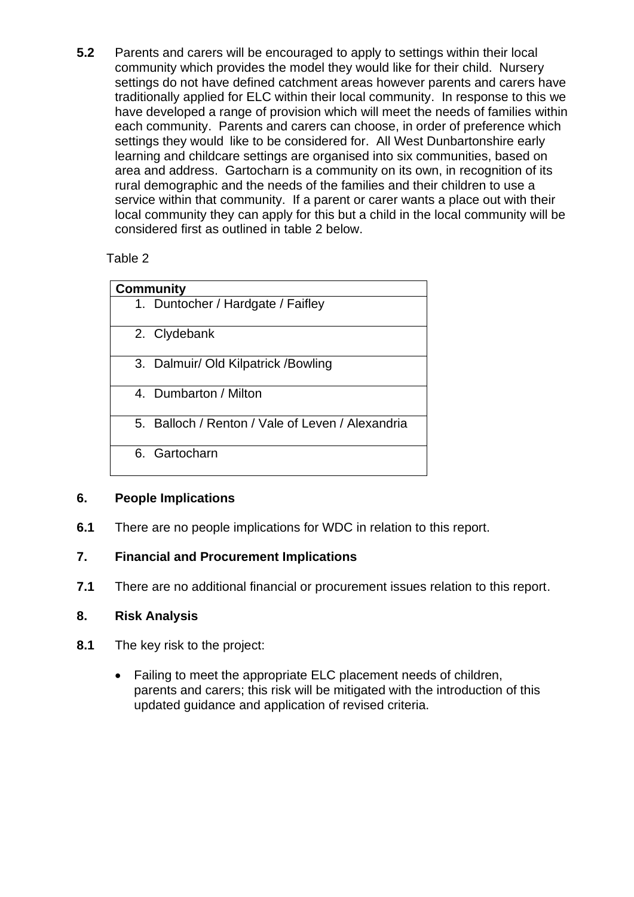**5.2** Parents and carers will be encouraged to apply to settings within their local community which provides the model they would like for their child. Nursery settings do not have defined catchment areas however parents and carers have traditionally applied for ELC within their local community. In response to this we have developed a range of provision which will meet the needs of families within each community. Parents and carers can choose, in order of preference which settings they would like to be considered for. All West Dunbartonshire early learning and childcare settings are organised into six communities, based on area and address. Gartocharn is a community on its own, in recognition of its rural demographic and the needs of the families and their children to use a service within that community. If a parent or carer wants a place out with their local community they can apply for this but a child in the local community will be considered first as outlined in table 2 below.

Table 2

| <b>Community</b>                                 |  |  |
|--------------------------------------------------|--|--|
| 1. Duntocher / Hardgate / Faifley                |  |  |
| 2. Clydebank                                     |  |  |
| 3. Dalmuir/ Old Kilpatrick / Bowling             |  |  |
| 4. Dumbarton / Milton                            |  |  |
| 5. Balloch / Renton / Vale of Leven / Alexandria |  |  |
| 6. Gartocharn                                    |  |  |

# **6. People Implications**

**6.1** There are no people implications for WDC in relation to this report.

# **7. Financial and Procurement Implications**

**7.1** There are no additional financial or procurement issues relation to this report.

## **8. Risk Analysis**

- **8.1** The key risk to the project:
	- Failing to meet the appropriate ELC placement needs of children, parents and carers; this risk will be mitigated with the introduction of this updated guidance and application of revised criteria.